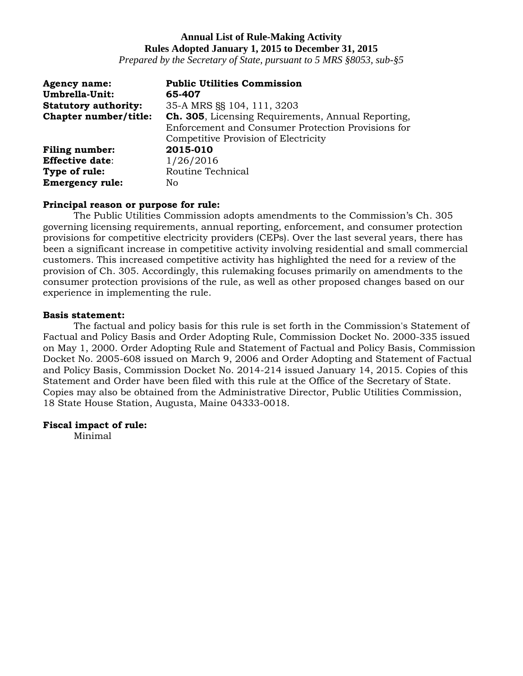*Prepared by the Secretary of State, pursuant to 5 MRS §8053, sub-§5*

| <b>Agency name:</b>         | <b>Public Utilities Commission</b>                         |
|-----------------------------|------------------------------------------------------------|
| Umbrella-Unit:              | 65-407                                                     |
| <b>Statutory authority:</b> | 35-A MRS §§ 104, 111, 3203                                 |
| Chapter number/title:       | <b>Ch. 305</b> , Licensing Requirements, Annual Reporting, |
|                             | Enforcement and Consumer Protection Provisions for         |
|                             | Competitive Provision of Electricity                       |
| <b>Filing number:</b>       | 2015-010                                                   |
| <b>Effective date:</b>      | 1/26/2016                                                  |
| Type of rule:               | Routine Technical                                          |
| <b>Emergency rule:</b>      | No                                                         |

#### **Principal reason or purpose for rule:**

The Public Utilities Commission adopts amendments to the Commission's Ch. 305 governing licensing requirements, annual reporting, enforcement, and consumer protection provisions for competitive electricity providers (CEPs). Over the last several years, there has been a significant increase in competitive activity involving residential and small commercial customers. This increased competitive activity has highlighted the need for a review of the provision of Ch. 305. Accordingly, this rulemaking focuses primarily on amendments to the consumer protection provisions of the rule, as well as other proposed changes based on our experience in implementing the rule.

#### **Basis statement:**

The factual and policy basis for this rule is set forth in the Commission's Statement of Factual and Policy Basis and Order Adopting Rule, Commission Docket No. 2000-335 issued on May 1, 2000. Order Adopting Rule and Statement of Factual and Policy Basis, Commission Docket No. 2005-608 issued on March 9, 2006 and Order Adopting and Statement of Factual and Policy Basis, Commission Docket No. 2014-214 issued January 14, 2015. Copies of this Statement and Order have been filed with this rule at the Office of the Secretary of State. Copies may also be obtained from the Administrative Director, Public Utilities Commission, 18 State House Station, Augusta, Maine 04333-0018.

#### **Fiscal impact of rule:**

Minimal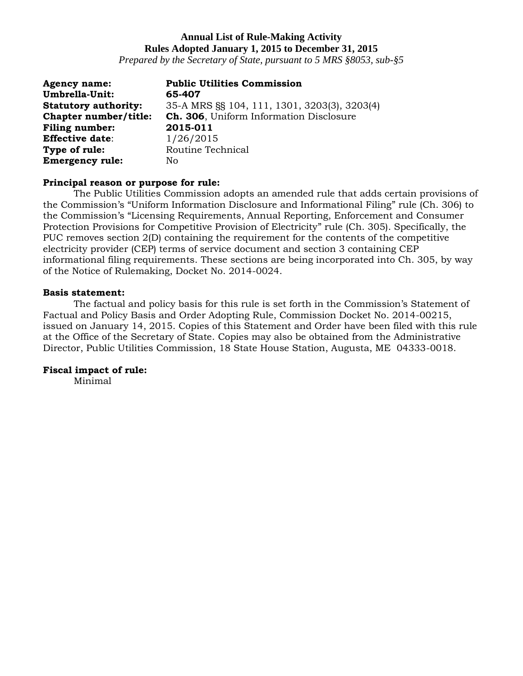*Prepared by the Secretary of State, pursuant to 5 MRS §8053, sub-§5*

| <b>Agency name:</b>         | <b>Public Utilities Commission</b>           |
|-----------------------------|----------------------------------------------|
| Umbrella-Unit:              | 65-407                                       |
| <b>Statutory authority:</b> | 35-A MRS §§ 104, 111, 1301, 3203(3), 3203(4) |
| Chapter number/title:       | Ch. 306, Uniform Information Disclosure      |
| Filing number:              | 2015-011                                     |
| <b>Effective date:</b>      | 1/26/2015                                    |
| Type of rule:               | Routine Technical                            |
| <b>Emergency rule:</b>      | No                                           |

#### **Principal reason or purpose for rule:**

The Public Utilities Commission adopts an amended rule that adds certain provisions of the Commission's "Uniform Information Disclosure and Informational Filing" rule (Ch. 306) to the Commission's "Licensing Requirements, Annual Reporting, Enforcement and Consumer Protection Provisions for Competitive Provision of Electricity" rule (Ch. 305). Specifically, the PUC removes section 2(D) containing the requirement for the contents of the competitive electricity provider (CEP) terms of service document and section 3 containing CEP informational filing requirements. These sections are being incorporated into Ch. 305, by way of the Notice of Rulemaking, Docket No. 2014-0024.

#### **Basis statement:**

The factual and policy basis for this rule is set forth in the Commission's Statement of Factual and Policy Basis and Order Adopting Rule, Commission Docket No. 2014-00215, issued on January 14, 2015. Copies of this Statement and Order have been filed with this rule at the Office of the Secretary of State. Copies may also be obtained from the Administrative Director, Public Utilities Commission, 18 State House Station, Augusta, ME 04333-0018.

#### **Fiscal impact of rule:**

Minimal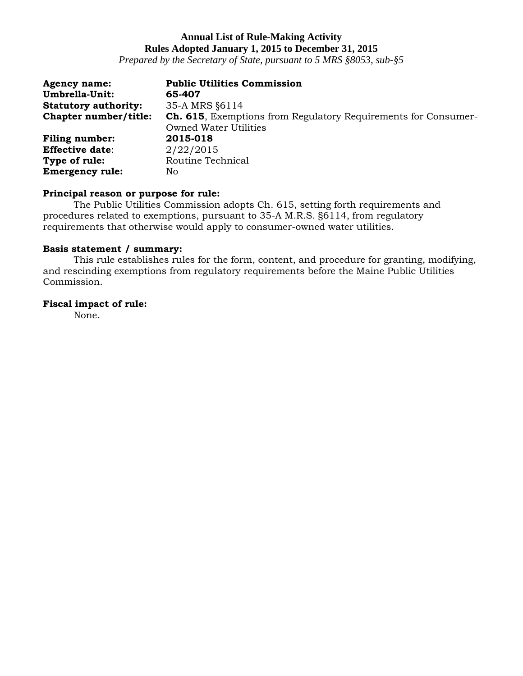*Prepared by the Secretary of State, pursuant to 5 MRS §8053, sub-§5*

| <b>Agency name:</b>         | <b>Public Utilities Commission</b>                                     |
|-----------------------------|------------------------------------------------------------------------|
| Umbrella-Unit:              | 65-407                                                                 |
| <b>Statutory authority:</b> | 35-A MRS §6114                                                         |
| Chapter number/title:       | <b>Ch. 615</b> , Exemptions from Regulatory Requirements for Consumer- |
|                             | <b>Owned Water Utilities</b>                                           |
| <b>Filing number:</b>       | 2015-018                                                               |
| <b>Effective date:</b>      | 2/22/2015                                                              |
| Type of rule:               | Routine Technical                                                      |
| <b>Emergency rule:</b>      | No.                                                                    |

#### **Principal reason or purpose for rule:**

The Public Utilities Commission adopts Ch. 615, setting forth requirements and procedures related to exemptions, pursuant to 35-A M.R.S. §6114, from regulatory requirements that otherwise would apply to consumer-owned water utilities.

### **Basis statement / summary:**

This rule establishes rules for the form, content, and procedure for granting, modifying, and rescinding exemptions from regulatory requirements before the Maine Public Utilities Commission.

#### **Fiscal impact of rule:**

None.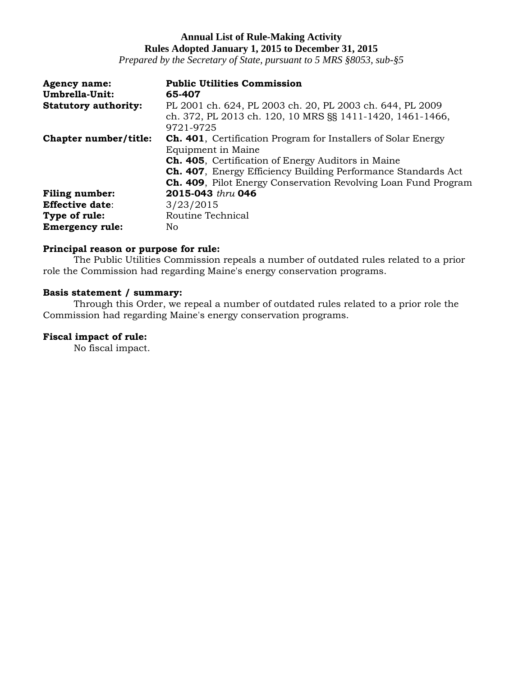*Prepared by the Secretary of State, pursuant to 5 MRS §8053, sub-§5*

| <b>Agency name:</b><br>Umbrella-Unit: | <b>Public Utilities Commission</b><br>65-407                                                                                                                                                                                                                                                                 |
|---------------------------------------|--------------------------------------------------------------------------------------------------------------------------------------------------------------------------------------------------------------------------------------------------------------------------------------------------------------|
| <b>Statutory authority:</b>           | PL 2001 ch. 624, PL 2003 ch. 20, PL 2003 ch. 644, PL 2009<br>ch. 372, PL 2013 ch. 120, 10 MRS §§ 1411-1420, 1461-1466,<br>9721-9725                                                                                                                                                                          |
| Chapter number/title:                 | <b>Ch. 401</b> , Certification Program for Installers of Solar Energy<br>Equipment in Maine<br><b>Ch. 405</b> , Certification of Energy Auditors in Maine<br><b>Ch. 407</b> , Energy Efficiency Building Performance Standards Act<br><b>Ch. 409</b> , Pilot Energy Conservation Revolving Loan Fund Program |
| <b>Filing number:</b>                 | 2015-043 thru 046                                                                                                                                                                                                                                                                                            |
| <b>Effective date:</b>                | 3/23/2015                                                                                                                                                                                                                                                                                                    |
| Type of rule:                         | Routine Technical                                                                                                                                                                                                                                                                                            |
| <b>Emergency rule:</b>                | No.                                                                                                                                                                                                                                                                                                          |

#### **Principal reason or purpose for rule:**

The Public Utilities Commission repeals a number of outdated rules related to a prior role the Commission had regarding Maine's energy conservation programs.

## **Basis statement / summary:**

Through this Order, we repeal a number of outdated rules related to a prior role the Commission had regarding Maine's energy conservation programs.

## **Fiscal impact of rule:**

No fiscal impact.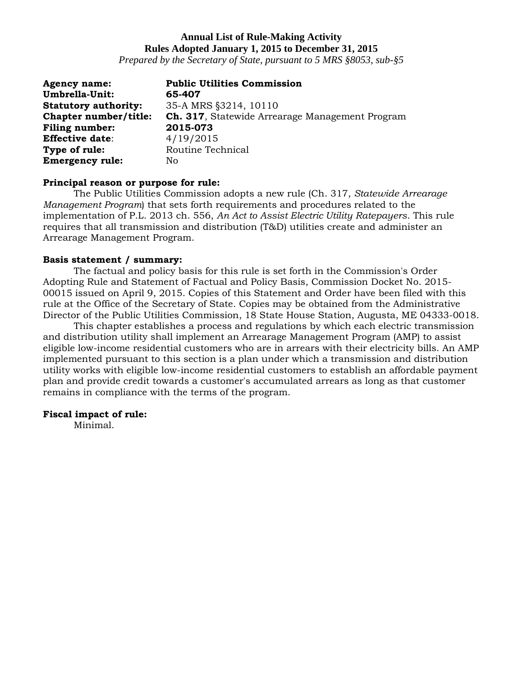*Prepared by the Secretary of State, pursuant to 5 MRS §8053, sub-§5*

| <b>Agency name:</b>         | <b>Public Utilities Commission</b>              |
|-----------------------------|-------------------------------------------------|
| Umbrella-Unit:              | 65-407                                          |
| <b>Statutory authority:</b> | 35-A MRS §3214, 10110                           |
| Chapter number/title:       | Ch. 317, Statewide Arrearage Management Program |
| <b>Filing number:</b>       | 2015-073                                        |
| <b>Effective date:</b>      | 4/19/2015                                       |
| Type of rule:               | Routine Technical                               |
| <b>Emergency rule:</b>      | No                                              |

#### **Principal reason or purpose for rule:**

The Public Utilities Commission adopts a new rule (Ch. 317, *Statewide Arrearage Management Program*) that sets forth requirements and procedures related to the implementation of P.L. 2013 ch. 556, *An Act to Assist Electric Utility Ratepayers*. This rule requires that all transmission and distribution (T&D) utilities create and administer an Arrearage Management Program.

### **Basis statement / summary:**

The factual and policy basis for this rule is set forth in the Commission's Order Adopting Rule and Statement of Factual and Policy Basis, Commission Docket No. 2015- 00015 issued on April 9, 2015. Copies of this Statement and Order have been filed with this rule at the Office of the Secretary of State. Copies may be obtained from the Administrative Director of the Public Utilities Commission, 18 State House Station, Augusta, ME 04333-0018.

This chapter establishes a process and regulations by which each electric transmission and distribution utility shall implement an Arrearage Management Program (AMP) to assist eligible low-income residential customers who are in arrears with their electricity bills. An AMP implemented pursuant to this section is a plan under which a transmission and distribution utility works with eligible low-income residential customers to establish an affordable payment plan and provide credit towards a customer's accumulated arrears as long as that customer remains in compliance with the terms of the program.

### **Fiscal impact of rule:**

Minimal.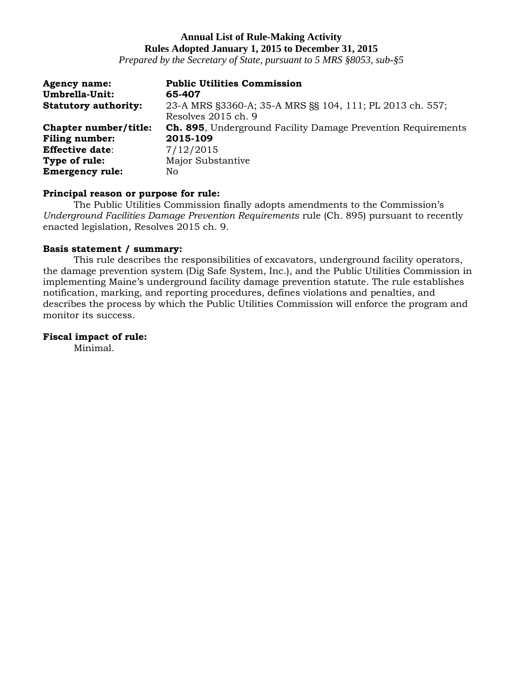*Prepared by the Secretary of State, pursuant to 5 MRS §8053, sub-§5*

| <b>Agency name:</b>         | <b>Public Utilities Commission</b>                                              |
|-----------------------------|---------------------------------------------------------------------------------|
| Umbrella-Unit:              | 65-407                                                                          |
| <b>Statutory authority:</b> | 23-A MRS §3360-A; 35-A MRS §§ 104, 111; PL 2013 ch. 557;<br>Resolves 2015 ch. 9 |
|                             |                                                                                 |
| Chapter number/title:       | Ch. 895, Underground Facility Damage Prevention Requirements                    |
| <b>Filing number:</b>       | 2015-109                                                                        |
| <b>Effective date:</b>      | 7/12/2015                                                                       |
| Type of rule:               | Major Substantive                                                               |
| <b>Emergency rule:</b>      | No                                                                              |

#### **Principal reason or purpose for rule:**

The Public Utilities Commission finally adopts amendments to the Commission's *Underground Facilities Damage Prevention Requirements* rule (Ch. 895) pursuant to recently enacted legislation, Resolves 2015 ch. 9.

#### **Basis statement / summary:**

This rule describes the responsibilities of excavators, underground facility operators, the damage prevention system (Dig Safe System, Inc.), and the Public Utilities Commission in implementing Maine's underground facility damage prevention statute. The rule establishes notification, marking, and reporting procedures, defines violations and penalties, and describes the process by which the Public Utilities Commission will enforce the program and monitor its success.

#### **Fiscal impact of rule:**

Minimal.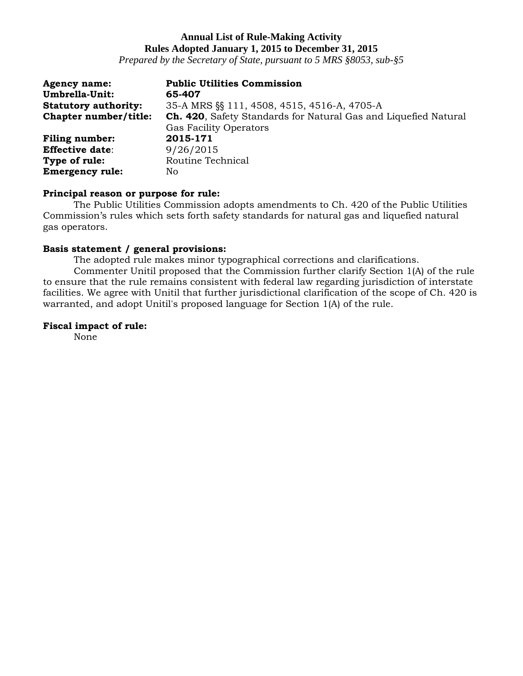*Prepared by the Secretary of State, pursuant to 5 MRS §8053, sub-§5*

| <b>Agency name:</b>         | <b>Public Utilities Commission</b>                              |
|-----------------------------|-----------------------------------------------------------------|
| Umbrella-Unit:              | 65-407                                                          |
| <b>Statutory authority:</b> | 35-A MRS §§ 111, 4508, 4515, 4516-A, 4705-A                     |
| Chapter number/title:       | Ch. 420, Safety Standards for Natural Gas and Liquefied Natural |
|                             | <b>Gas Facility Operators</b>                                   |
| <b>Filing number:</b>       | 2015-171                                                        |
| <b>Effective date:</b>      | 9/26/2015                                                       |
| Type of rule:               | Routine Technical                                               |
| <b>Emergency rule:</b>      | No                                                              |

#### **Principal reason or purpose for rule:**

The Public Utilities Commission adopts amendments to Ch. 420 of the Public Utilities Commission's rules which sets forth safety standards for natural gas and liquefied natural gas operators.

## **Basis statement / general provisions:**

The adopted rule makes minor typographical corrections and clarifications.

Commenter Unitil proposed that the Commission further clarify Section 1(A) of the rule to ensure that the rule remains consistent with federal law regarding jurisdiction of interstate facilities. We agree with Unitil that further jurisdictional clarification of the scope of Ch. 420 is warranted, and adopt Unitil's proposed language for Section 1(A) of the rule.

#### **Fiscal impact of rule:**

None